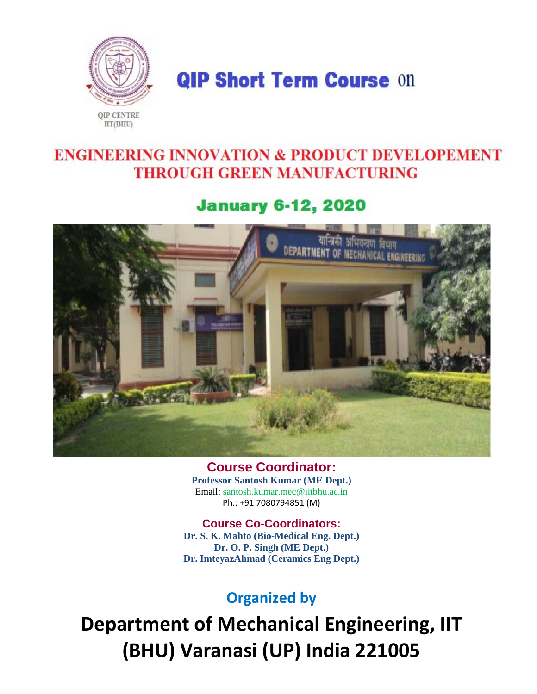

**QIP Short Term Course On** 

# **ENGINEERING INNOVATION & PRODUCT DEVELOPEMENT THROUGH GREEN MANUFACTURING**

## **January 6-12, 2020**



**Course Coordinator: Professor Santosh Kumar (ME Dept.)**  Email: santosh.kumar.mec@iitbhu.ac.in Ph.: +91 7080794851 (M)

**Course Co-Coordinators: Dr. S. K. Mahto (Bio-Medical Eng. Dept.) Dr. O. P. Singh (ME Dept.) Dr. ImteyazAhmad (Ceramics Eng Dept.)** 

# **Organized by**

**Department of Mechanical Engineering, IIT (BHU) Varanasi (UP) India 221005**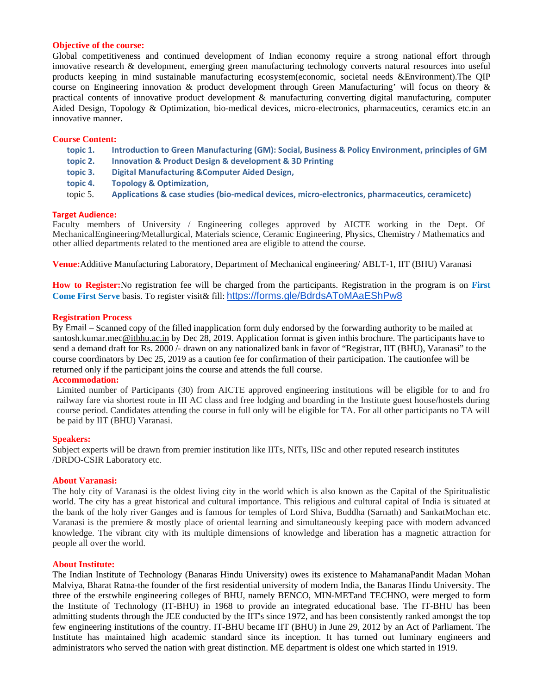#### **Objective of the course:**

Global competitiveness and continued development of Indian economy require a strong national effort through innovative research & development, emerging green manufacturing technology converts natural resources into useful products keeping in mind sustainable manufacturing ecosystem(economic, societal needs &Environment).The QIP course on Engineering innovation & product development through Green Manufacturing' will focus on theory & practical contents of innovative product development & manufacturing converting digital manufacturing, computer Aided Design, Topology & Optimization, bio-medical devices, micro-electronics, pharmaceutics, ceramics etc.in an innovative manner.

#### **Course Content:**

- **topic 1. Introduction to Green Manufacturing (GM): Social, Business & Policy Environment, principles of GM**
- **topic 2. Innovation & Product Design & development & 3D Printing**
- **topic 3. Digital Manufacturing &Computer Aided Design,**
- **topic 4. Topology & Optimization,**
- topic 5. **Applications & case studies (bio‐medical devices, micro‐electronics, pharmaceutics, ceramicetc)**

#### **Target Audience:**

Faculty members of University / Engineering colleges approved by AICTE working in the Dept. Of MechanicalEngineering/Metallurgical, Materials science, Ceramic Engineering, Physics, Chemistry / Mathematics and other allied departments related to the mentioned area are eligible to attend the course.

**Venue:**Additive Manufacturing Laboratory, Department of Mechanical engineering/ ABLT-1, IIT (BHU) Varanasi

**How to Register:**No registration fee will be charged from the participants. Registration in the program is on **First Come First Serve** basis. To register visit& fill: https://forms.gle/BdrdsAToMAaEShPw8

#### **Registration Process**

By Email – Scanned copy of the filled inapplication form duly endorsed by the forwarding authority to be mailed at santosh.kumar.mec@itbhu.ac.in by Dec 28, 2019. Application format is given inthis brochure. The participants have to send a demand draft for Rs. 2000 /- drawn on any nationalized bank in favor of "Registrar, IIT (BHU), Varanasi" to the course coordinators by Dec 25, 2019 as a caution fee for confirmation of their participation. The cautionfee will be returned only if the participant joins the course and attends the full course.

#### **Accommodation:**

Limited number of Participants (30) from AICTE approved engineering institutions will be eligible for to and fro railway fare via shortest route in III AC class and free lodging and boarding in the Institute guest house/hostels during course period. Candidates attending the course in full only will be eligible for TA. For all other participants no TA will be paid by IIT (BHU) Varanasi.

#### **Speakers:**

Subject experts will be drawn from premier institution like IITs, NITs, IISc and other reputed research institutes /DRDO-CSIR Laboratory etc.

#### **About Varanasi:**

The holy city of Varanasi is the oldest living city in the world which is also known as the Capital of the Spiritualistic world. The city has a great historical and cultural importance. This religious and cultural capital of India is situated at the bank of the holy river Ganges and is famous for temples of Lord Shiva, Buddha (Sarnath) and SankatMochan etc. Varanasi is the premiere & mostly place of oriental learning and simultaneously keeping pace with modern advanced knowledge. The vibrant city with its multiple dimensions of knowledge and liberation has a magnetic attraction for people all over the world.

#### **About Institute:**

The Indian Institute of Technology (Banaras Hindu University) owes its existence to MahamanaPandit Madan Mohan Malviya, Bharat Ratna-the founder of the first residential university of modern India, the Banaras Hindu University. The three of the erstwhile engineering colleges of BHU, namely BENCO, MIN-METand TECHNO, were merged to form the Institute of Technology (IT-BHU) in 1968 to provide an integrated educational base. The IT-BHU has been admitting students through the JEE conducted by the IIT's since 1972, and has been consistently ranked amongst the top few engineering institutions of the country. IT-BHU became IIT (BHU) in June 29, 2012 by an Act of Parliament. The Institute has maintained high academic standard since its inception. It has turned out luminary engineers and administrators who served the nation with great distinction. ME department is oldest one which started in 1919.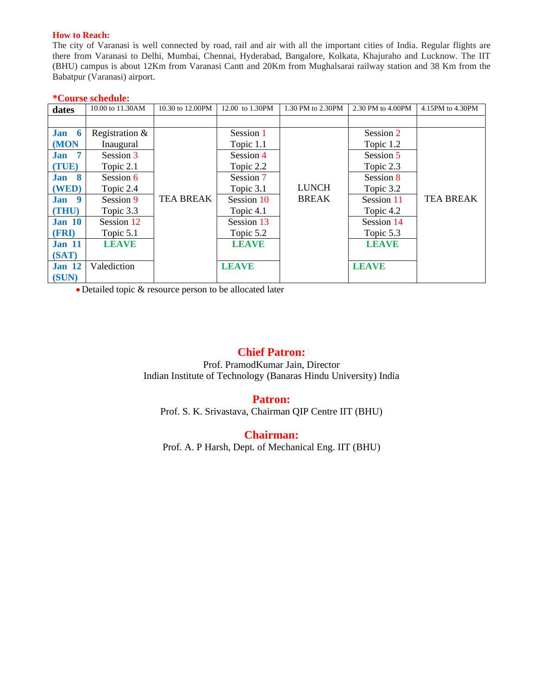### **How to Reach:**

The city of Varanasi is well connected by road, rail and air with all the important cities of India. Regular flights are there from Varanasi to Delhi, Mumbai, Chennai, Hyderabad, Bangalore, Kolkata, Khajuraho and Lucknow. The IIT (BHU) campus is about 12Km from Varanasi Cantt and 20Km from Mughalsarai railway station and 38 Km from the Babatpur (Varanasi) airport.

### **\*Course schedule:**

| dates           | 10.00 to 11.30AM | 10.30 to 12.00PM | 12.00 to 1.30PM | 1.30 PM to 2.30PM | 2.30 PM to 4.00PM | 4.15PM to 4.30PM |
|-----------------|------------------|------------------|-----------------|-------------------|-------------------|------------------|
|                 |                  |                  |                 |                   |                   |                  |
| Jan 6           | Registration &   |                  | Session 1       |                   | Session 2         |                  |
| (MON            | Inaugural        |                  | Topic 1.1       |                   | Topic 1.2         |                  |
| 7<br><b>Jan</b> | Session 3        |                  | Session 4       |                   | Session 5         |                  |
| (TUE)           | Topic 2.1        |                  | Topic 2.2       |                   | Topic 2.3         |                  |
| Jan 8           | Session 6        |                  | Session 7       |                   | Session 8         |                  |
| (WED)           | Topic 2.4        |                  | Topic 3.1       | <b>LUNCH</b>      | Topic 3.2         |                  |
| 9<br>Jan        | Session 9        | <b>TEA BREAK</b> | Session 10      | <b>BREAK</b>      | Session 11        | <b>TEA BREAK</b> |
| (THU)           | Topic 3.3        |                  | Topic 4.1       |                   | Topic 4.2         |                  |
| <b>Jan 10</b>   | Session 12       |                  | Session 13      |                   | Session 14        |                  |
| (FRI)           | Topic 5.1        |                  | Topic 5.2       |                   | Topic 5.3         |                  |
| <b>Jan 11</b>   | <b>LEAVE</b>     |                  | <b>LEAVE</b>    |                   | <b>LEAVE</b>      |                  |
| (SAT)           |                  |                  |                 |                   |                   |                  |
| <b>Jan 12</b>   | Valediction      |                  | <b>LEAVE</b>    |                   | <b>LEAVE</b>      |                  |
| (SUN)           |                  |                  |                 |                   |                   |                  |

Detailed topic & resource person to be allocated later

## **Chief Patron:**

Prof. PramodKumar Jain, Director Indian Institute of Technology (Banaras Hindu University) India

## **Patron:**

Prof. S. K. Srivastava, Chairman QIP Centre IIT (BHU)

## **Chairman:**

Prof. A. P Harsh, Dept. of Mechanical Eng. IIT (BHU)